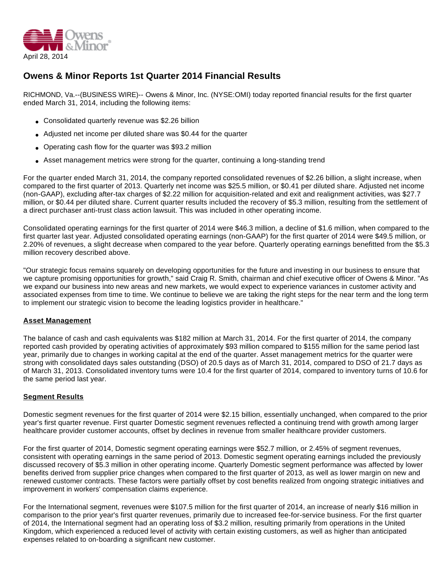

# **Owens & Minor Reports 1st Quarter 2014 Financial Results**

RICHMOND, Va.--(BUSINESS WIRE)-- Owens & Minor, Inc. (NYSE:OMI) today reported financial results for the first quarter ended March 31, 2014, including the following items:

- Consolidated quarterly revenue was \$2.26 billion
- Adjusted net income per diluted share was \$0.44 for the quarter
- Operating cash flow for the quarter was \$93.2 million
- Asset management metrics were strong for the quarter, continuing a long-standing trend

For the quarter ended March 31, 2014, the company reported consolidated revenues of \$2.26 billion, a slight increase, when compared to the first quarter of 2013. Quarterly net income was \$25.5 million, or \$0.41 per diluted share. Adjusted net income (non-GAAP), excluding after-tax charges of \$2.22 million for acquisition-related and exit and realignment activities, was \$27.7 million, or \$0.44 per diluted share. Current quarter results included the recovery of \$5.3 million, resulting from the settlement of a direct purchaser anti-trust class action lawsuit. This was included in other operating income.

Consolidated operating earnings for the first quarter of 2014 were \$46.3 million, a decline of \$1.6 million, when compared to the first quarter last year. Adjusted consolidated operating earnings (non-GAAP) for the first quarter of 2014 were \$49.5 million, or 2.20% of revenues, a slight decrease when compared to the year before. Quarterly operating earnings benefitted from the \$5.3 million recovery described above.

"Our strategic focus remains squarely on developing opportunities for the future and investing in our business to ensure that we capture promising opportunities for growth," said Craig R. Smith, chairman and chief executive officer of Owens & Minor. "As we expand our business into new areas and new markets, we would expect to experience variances in customer activity and associated expenses from time to time. We continue to believe we are taking the right steps for the near term and the long term to implement our strategic vision to become the leading logistics provider in healthcare."

#### **Asset Management**

The balance of cash and cash equivalents was \$182 million at March 31, 2014. For the first quarter of 2014, the company reported cash provided by operating activities of approximately \$93 million compared to \$155 million for the same period last year, primarily due to changes in working capital at the end of the quarter. Asset management metrics for the quarter were strong with consolidated days sales outstanding (DSO) of 20.5 days as of March 31, 2014, compared to DSO of 21.7 days as of March 31, 2013. Consolidated inventory turns were 10.4 for the first quarter of 2014, compared to inventory turns of 10.6 for the same period last year.

## **Segment Results**

Domestic segment revenues for the first quarter of 2014 were \$2.15 billion, essentially unchanged, when compared to the prior year's first quarter revenue. First quarter Domestic segment revenues reflected a continuing trend with growth among larger healthcare provider customer accounts, offset by declines in revenue from smaller healthcare provider customers.

For the first quarter of 2014, Domestic segment operating earnings were \$52.7 million, or 2.45% of segment revenues, consistent with operating earnings in the same period of 2013. Domestic segment operating earnings included the previously discussed recovery of \$5.3 million in other operating income. Quarterly Domestic segment performance was affected by lower benefits derived from supplier price changes when compared to the first quarter of 2013, as well as lower margin on new and renewed customer contracts. These factors were partially offset by cost benefits realized from ongoing strategic initiatives and improvement in workers' compensation claims experience.

For the International segment, revenues were \$107.5 million for the first quarter of 2014, an increase of nearly \$16 million in comparison to the prior year's first quarter revenues, primarily due to increased fee-for-service business. For the first quarter of 2014, the International segment had an operating loss of \$3.2 million, resulting primarily from operations in the United Kingdom, which experienced a reduced level of activity with certain existing customers, as well as higher than anticipated expenses related to on-boarding a significant new customer.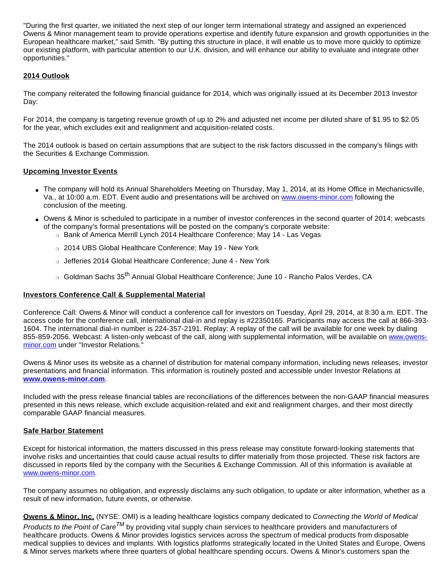"During the first quarter, we initiated the next step of our longer term international strategy and assigned an experienced Owens & Minor management team to provide operations expertise and identify future expansion and growth opportunities in the European healthcare market," said Smith. "By putting this structure in place, it will enable us to move more quickly to optimize our existing platform, with particular attention to our U.K. division, and will enhance our ability to evaluate and integrate other opportunities."

## **2014 Outlook**

The company reiterated the following financial guidance for 2014, which was originally issued at its December 2013 Investor Day:

For 2014, the company is targeting revenue growth of up to 2% and adjusted net income per diluted share of \$1.95 to \$2.05 for the year, which excludes exit and realignment and acquisition-related costs.

The 2014 outlook is based on certain assumptions that are subject to the risk factors discussed in the company's filings with the Securities & Exchange Commission.

#### **Upcoming Investor Events**

- The company will hold its Annual Shareholders Meeting on Thursday, May 1, 2014, at its Home Office in Mechanicsville, Va., at 10:00 a.m. EDT. Event audio and presentations will be archived on [www.owens-minor.com](http://cts.businesswire.com/ct/CT?id=smartlink&url=http%3A%2F%2Fwww.owens-minor.com&esheet=50852581&newsitemid=20140428006642&lan=en-US&anchor=www.owens-minor.com&index=1&md5=bcc22c3403aeaaaa795dfec9e6d2f848) following the conclusion of the meeting.
- Owens & Minor is scheduled to participate in a number of investor conferences in the second quarter of 2014; webcasts of the company's formal presentations will be posted on the company's corporate website:
	- o Bank of America Merrill Lynch 2014 Healthcare Conference; May 14 Las Vegas
	- ❍ 2014 UBS Global Healthcare Conference; May 19 New York
	- o Jefferies 2014 Global Healthcare Conference; June 4 New York
	- Goldman Sachs 35<sup>th</sup> Annual Global Healthcare Conference; June 10 Rancho Palos Verdes, CA

#### **Investors Conference Call & Supplemental Material**

Conference Call: Owens & Minor will conduct a conference call for investors on Tuesday, April 29, 2014, at 8:30 a.m. EDT. The access code for the conference call, international dial-in and replay is #22350165. Participants may access the call at 866-393- 1604. The international dial-in number is 224-357-2191. Replay: A replay of the call will be available for one week by dialing 855-859-2056. Webcast: A listen-only webcast of the call, along with supplemental information, will be available on [www.owens](http://cts.businesswire.com/ct/CT?id=smartlink&url=http%3A%2F%2Fwww.owens-minor.com&esheet=50852581&newsitemid=20140428006642&lan=en-US&anchor=www.owens-minor.com&index=2&md5=2b5e44b73e001503b4cbe3385ad5edc6)[minor.com](http://cts.businesswire.com/ct/CT?id=smartlink&url=http%3A%2F%2Fwww.owens-minor.com&esheet=50852581&newsitemid=20140428006642&lan=en-US&anchor=www.owens-minor.com&index=2&md5=2b5e44b73e001503b4cbe3385ad5edc6) under "Investor Relations."

Owens & Minor uses its website as a channel of distribution for material company information, including news releases, investor presentations and financial information. This information is routinely posted and accessible under Investor Relations at **[www.owens-minor.com](http://cts.businesswire.com/ct/CT?id=smartlink&url=http%3A%2F%2Fwww.owens-minor.com&esheet=50852581&newsitemid=20140428006642&lan=en-US&anchor=www.owens-minor.com&index=3&md5=05f6192f556181e24d7706561df2b806)**.

Included with the press release financial tables are reconciliations of the differences between the non-GAAP financial measures presented in this news release, which exclude acquisition-related and exit and realignment charges, and their most directly comparable GAAP financial measures.

#### **Safe Harbor Statement**

Except for historical information, the matters discussed in this press release may constitute forward-looking statements that involve risks and uncertainties that could cause actual results to differ materially from those projected. These risk factors are discussed in reports filed by the company with the Securities & Exchange Commission. All of this information is available at [www.owens-minor.com.](http://cts.businesswire.com/ct/CT?id=smartlink&url=http%3A%2F%2Fwww.owens-minor.com&esheet=50852581&newsitemid=20140428006642&lan=en-US&anchor=www.owens-minor.com&index=4&md5=862cd5067bcf2d6eac25090a22d31dd7)

The company assumes no obligation, and expressly disclaims any such obligation, to update or alter information, whether as a result of new information, future events, or otherwise.

**Owens & Minor, Inc.** (NYSE: OMI) is a leading healthcare logistics company dedicated to Connecting the World of Medical Products to the Point of Care<sup>TM</sup> by providing vital supply chain services to healthcare providers and manufacturers of healthcare products. Owens & Minor provides logistics services across the spectrum of medical products from disposable medical supplies to devices and implants. With logistics platforms strategically located in the United States and Europe, Owens & Minor serves markets where three quarters of global healthcare spending occurs. Owens & Minor's customers span the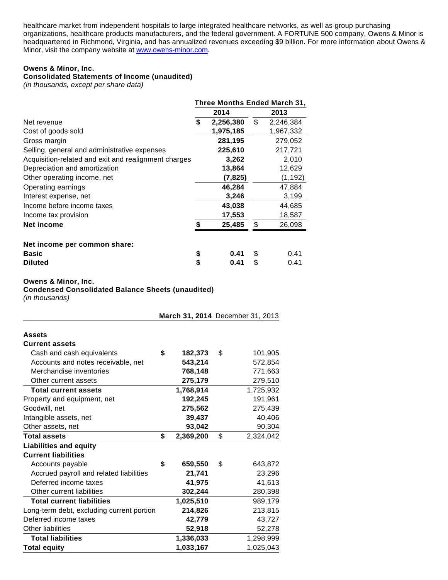healthcare market from independent hospitals to large integrated healthcare networks, as well as group purchasing organizations, healthcare products manufacturers, and the federal government. A FORTUNE 500 company, Owens & Minor is headquartered in Richmond, Virginia, and has annualized revenues exceeding \$9 billion. For more information about Owens & Minor, visit the company website at [www.owens-minor.com](http://cts.businesswire.com/ct/CT?id=smartlink&url=http%3A%2F%2Fwww.owens-minor.com&esheet=50852581&newsitemid=20140428006642&lan=en-US&anchor=www.owens-minor.com&index=5&md5=2f10335061a1185ce71ab94772f37b0e).

## **Owens & Minor, Inc.**

## **Consolidated Statements of Income (unaudited)**

(in thousands, except per share data)

|                                                      | Three Months Ended March 31, |           |    |           |  |  |  |
|------------------------------------------------------|------------------------------|-----------|----|-----------|--|--|--|
|                                                      |                              | 2014      |    | 2013      |  |  |  |
| Net revenue                                          | \$                           | 2,256,380 | \$ | 2,246,384 |  |  |  |
| Cost of goods sold                                   |                              | 1,975,185 |    | 1,967,332 |  |  |  |
| Gross margin                                         |                              | 281,195   |    | 279,052   |  |  |  |
| Selling, general and administrative expenses         |                              | 225,610   |    | 217,721   |  |  |  |
| Acquisition-related and exit and realignment charges |                              | 3,262     |    | 2,010     |  |  |  |
| Depreciation and amortization                        |                              | 13,864    |    | 12,629    |  |  |  |
| Other operating income, net                          |                              | (7, 825)  |    | (1, 192)  |  |  |  |
| Operating earnings                                   |                              | 46,284    |    | 47,884    |  |  |  |
| Interest expense, net                                |                              | 3,246     |    | 3,199     |  |  |  |
| Income before income taxes                           |                              | 43,038    |    | 44,685    |  |  |  |
| Income tax provision                                 |                              | 17,553    |    | 18,587    |  |  |  |
| Net income                                           | \$                           | 25,485    | \$ | 26,098    |  |  |  |
| Net income per common share:                         |                              |           |    |           |  |  |  |
| <b>Basic</b>                                         | \$                           | 0.41      | S. | 0.41      |  |  |  |
| <b>Diluted</b>                                       | \$                           | 0.41      | S  | 0.41      |  |  |  |

#### **Owens & Minor, Inc.**

**Condensed Consolidated Balance Sheets (unaudited)**

(in thousands)

|                                           |                 | March 31, 2014 December 31, 2013 |
|-------------------------------------------|-----------------|----------------------------------|
| <b>Assets</b>                             |                 |                                  |
| <b>Current assets</b>                     |                 |                                  |
| Cash and cash equivalents                 | \$<br>182,373   | \$<br>101,905                    |
| Accounts and notes receivable, net        | 543,214         | 572,854                          |
| Merchandise inventories                   | 768,148         | 771,663                          |
| Other current assets                      | 275,179         | 279,510                          |
| <b>Total current assets</b>               | 1,768,914       | 1,725,932                        |
| Property and equipment, net               | 192,245         | 191,961                          |
| Goodwill, net                             | 275,562         | 275,439                          |
| Intangible assets, net                    | 39,437          | 40,406                           |
| Other assets, net                         | 93,042          | 90,304                           |
| <b>Total assets</b>                       | \$<br>2,369,200 | \$<br>2,324,042                  |
| <b>Liabilities and equity</b>             |                 |                                  |
| <b>Current liabilities</b>                |                 |                                  |
| Accounts payable                          | \$<br>659,550   | \$<br>643,872                    |
| Accrued payroll and related liabilities   | 21,741          | 23,296                           |
| Deferred income taxes                     | 41,975          | 41,613                           |
| Other current liabilities                 | 302,244         | 280,398                          |
| <b>Total current liabilities</b>          | 1,025,510       | 989,179                          |
| Long-term debt, excluding current portion | 214,826         | 213,815                          |
| Deferred income taxes                     | 42,779          | 43,727                           |
| Other liabilities                         | 52,918          | 52,278                           |
| <b>Total liabilities</b>                  | 1,336,033       | 1,298,999                        |
| <b>Total equity</b>                       | 1,033,167       | 1,025,043                        |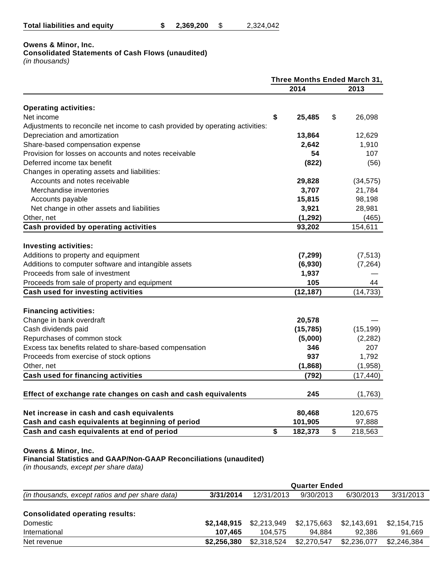| <b>Total liabilities and equity</b> |  | 2,369,200 |  | 2,324,042 |
|-------------------------------------|--|-----------|--|-----------|
|-------------------------------------|--|-----------|--|-----------|

## **Owens & Minor, Inc.**

## **Consolidated Statements of Cash Flows (unaudited)**

(in thousands)

|                                                                               | Three Months Ended March 31, |           |    |           |  |
|-------------------------------------------------------------------------------|------------------------------|-----------|----|-----------|--|
|                                                                               |                              | 2014      |    | 2013      |  |
| <b>Operating activities:</b>                                                  |                              |           |    |           |  |
| Net income                                                                    | \$                           | 25,485    | \$ | 26,098    |  |
| Adjustments to reconcile net income to cash provided by operating activities: |                              |           |    |           |  |
| Depreciation and amortization                                                 |                              | 13,864    |    | 12,629    |  |
| Share-based compensation expense                                              |                              | 2,642     |    | 1,910     |  |
| Provision for losses on accounts and notes receivable                         |                              | 54        |    | 107       |  |
| Deferred income tax benefit                                                   |                              | (822)     |    | (56)      |  |
| Changes in operating assets and liabilities:                                  |                              |           |    |           |  |
| Accounts and notes receivable                                                 |                              | 29,828    |    | (34, 575) |  |
| Merchandise inventories                                                       |                              | 3,707     |    | 21,784    |  |
| Accounts payable                                                              |                              | 15,815    |    | 98,198    |  |
| Net change in other assets and liabilities                                    |                              | 3,921     |    | 28,981    |  |
| Other, net                                                                    |                              | (1, 292)  |    | (465)     |  |
| Cash provided by operating activities                                         |                              | 93,202    |    | 154,611   |  |
|                                                                               |                              |           |    |           |  |
| <b>Investing activities:</b>                                                  |                              |           |    |           |  |
| Additions to property and equipment                                           |                              | (7, 299)  |    | (7, 513)  |  |
| Additions to computer software and intangible assets                          |                              | (6,930)   |    | (7, 264)  |  |
| Proceeds from sale of investment                                              |                              | 1,937     |    |           |  |
| Proceeds from sale of property and equipment                                  |                              | 105       |    | 44        |  |
| Cash used for investing activities                                            |                              | (12, 187) |    | (14, 733) |  |
| <b>Financing activities:</b>                                                  |                              |           |    |           |  |
| Change in bank overdraft                                                      |                              | 20,578    |    |           |  |
| Cash dividends paid                                                           |                              | (15, 785) |    | (15, 199) |  |
| Repurchases of common stock                                                   |                              | (5,000)   |    | (2, 282)  |  |
| Excess tax benefits related to share-based compensation                       |                              | 346       |    | 207       |  |
| Proceeds from exercise of stock options                                       |                              | 937       |    | 1,792     |  |
| Other, net                                                                    |                              | (1,868)   |    | (1,958)   |  |
| <b>Cash used for financing activities</b>                                     |                              | (792)     |    | (17, 440) |  |
|                                                                               |                              |           |    |           |  |
| Effect of exchange rate changes on cash and cash equivalents                  |                              | 245       |    | (1,763)   |  |
| Net increase in cash and cash equivalents                                     |                              | 80,468    |    | 120,675   |  |
| Cash and cash equivalents at beginning of period                              |                              | 101,905   |    | 97,888    |  |
| Cash and cash equivalents at end of period                                    | \$                           | 182,373   | \$ | 218,563   |  |

#### **Owens & Minor, Inc.**

**Financial Statistics and GAAP/Non-GAAP Reconciliations (unaudited)**

(in thousands, except per share data)

|                                                  | <b>Quarter Ended</b> |             |             |             |             |  |  |  |  |
|--------------------------------------------------|----------------------|-------------|-------------|-------------|-------------|--|--|--|--|
| (in thousands, except ratios and per share data) | 3/31/2014            | 12/31/2013  | 9/30/2013   | 6/30/2013   | 3/31/2013   |  |  |  |  |
| <b>Consolidated operating results:</b>           |                      |             |             |             |             |  |  |  |  |
| Domestic                                         | \$2,148,915          | \$2,213,949 | \$2,175,663 | \$2.143.691 | \$2,154,715 |  |  |  |  |
| International                                    | 107.465              | 104.575     | 94.884      | 92.386      | 91,669      |  |  |  |  |
| Net revenue                                      | \$2,256,380          | \$2,318,524 | \$2,270,547 | \$2,236,077 | \$2,246,384 |  |  |  |  |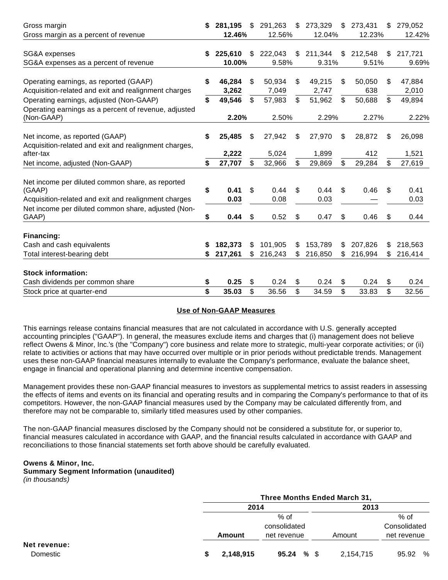| Gross margin                                                                                   | S  | 281,195         | $\mathfrak{L}$ | 291,263         | $\$\$ | 273,329         | \$ | 273,431       | $\mathbb{S}$ | 279,052         |
|------------------------------------------------------------------------------------------------|----|-----------------|----------------|-----------------|-------|-----------------|----|---------------|--------------|-----------------|
| Gross margin as a percent of revenue                                                           |    | 12.46%          |                | 12.56%          |       | 12.04%          |    | 12.23%        |              | 12.42%          |
| SG&A expenses                                                                                  | S  | 225,610         | \$.            | 222,043         | \$    | 211,344         | \$ | 212,548       | \$.          | 217,721         |
| SG&A expenses as a percent of revenue                                                          |    | 10.00%          |                | 9.58%           |       | 9.31%           |    | 9.51%         |              | 9.69%           |
|                                                                                                |    |                 |                |                 |       |                 |    |               |              |                 |
| Operating earnings, as reported (GAAP)<br>Acquisition-related and exit and realignment charges | S  | 46,284<br>3,262 | \$             | 50,934<br>7,049 | \$    | 49,215<br>2,747 | \$ | 50,050<br>638 | \$           | 47,884<br>2,010 |
| Operating earnings, adjusted (Non-GAAP)                                                        | \$ | 49,546          | \$             | 57,983          | \$    | 51,962          | \$ | 50,688        | \$           | 49,894          |
| Operating earnings as a percent of revenue, adjusted                                           |    |                 |                |                 |       |                 |    |               |              |                 |
| (Non-GAAP)                                                                                     |    | 2.20%           |                | 2.50%           |       | 2.29%           |    | 2.27%         |              | 2.22%           |
|                                                                                                |    |                 |                |                 |       |                 |    |               |              |                 |
| Net income, as reported (GAAP)<br>Acquisition-related and exit and realignment charges,        | \$ | 25,485          | S              | 27,942          | \$    | 27,970          | \$ | 28,872        | S            | 26,098          |
| after-tax                                                                                      |    | 2,222           |                | 5,024           |       | 1,899           |    | 412           |              | 1,521           |
| Net income, adjusted (Non-GAAP)                                                                | \$ | 27,707          | \$             | 32,966          | \$    | 29,869          | \$ | 29,284        | \$           | 27,619          |
|                                                                                                |    |                 |                |                 |       |                 |    |               |              |                 |
| Net income per diluted common share, as reported<br>(GAAP)                                     | \$ | 0.41            | \$             | 0.44            | \$.   | 0.44            | \$ | 0.46          | \$.          | 0.41            |
| Acquisition-related and exit and realignment charges                                           |    | 0.03            |                | 0.08            |       | 0.03            |    |               |              | 0.03            |
| Net income per diluted common share, adjusted (Non-                                            |    |                 |                |                 |       |                 |    |               |              |                 |
| GAAP)                                                                                          | S  | 0.44            | \$             | 0.52            | \$    | 0.47            | \$ | 0.46          | S            | 0.44            |
| Financing:                                                                                     |    |                 |                |                 |       |                 |    |               |              |                 |
| Cash and cash equivalents                                                                      |    | 182.373         | S              | 101,905         | \$    | 153,789         | \$ | 207,826       | S            | 218,563         |
| Total interest-bearing debt                                                                    |    | 217,261         |                | 216,243         | \$    | 216,850         | S  | 216,994       | \$.          | 216,414         |
| <b>Stock information:</b>                                                                      |    |                 |                |                 |       |                 |    |               |              |                 |
| Cash dividends per common share                                                                | \$ | 0.25            | \$             | 0.24            | \$    | 0.24            | \$ | 0.24          | S            | 0.24            |
| Stock price at quarter-end                                                                     | \$ | 35.03           | \$             | 36.56           | \$    | 34.59           | \$ | 33.83         | \$.          | 32.56           |
|                                                                                                |    |                 |                |                 |       |                 |    |               |              |                 |

## **Use of Non-GAAP Measures**

This earnings release contains financial measures that are not calculated in accordance with U.S. generally accepted accounting principles ("GAAP"). In general, the measures exclude items and charges that (i) management does not believe reflect Owens & Minor, Inc.'s (the "Company") core business and relate more to strategic, multi-year corporate activities; or (ii) relate to activities or actions that may have occurred over multiple or in prior periods without predictable trends. Management uses these non-GAAP financial measures internally to evaluate the Company's performance, evaluate the balance sheet, engage in financial and operational planning and determine incentive compensation.

Management provides these non-GAAP financial measures to investors as supplemental metrics to assist readers in assessing the effects of items and events on its financial and operating results and in comparing the Company's performance to that of its competitors. However, the non-GAAP financial measures used by the Company may be calculated differently from, and therefore may not be comparable to, similarly titled measures used by other companies.

The non-GAAP financial measures disclosed by the Company should not be considered a substitute for, or superior to, financial measures calculated in accordance with GAAP, and the financial results calculated in accordance with GAAP and reconciliations to those financial statements set forth above should be carefully evaluated.

#### **Owens & Minor, Inc.**

## **Summary Segment Information (unaudited)**

(in thousands)

|                          | Three Months Ended March 31, |                                       |           |                                       |  |  |  |  |  |
|--------------------------|------------------------------|---------------------------------------|-----------|---------------------------------------|--|--|--|--|--|
|                          | 2014                         |                                       | 2013      |                                       |  |  |  |  |  |
|                          | Amount                       | $%$ of<br>consolidated<br>net revenue | Amount    | $%$ of<br>Consolidated<br>net revenue |  |  |  |  |  |
| Net revenue:<br>Domestic | 2,148,915                    | 95.24 %                               | 2,154,715 | 95.92 %                               |  |  |  |  |  |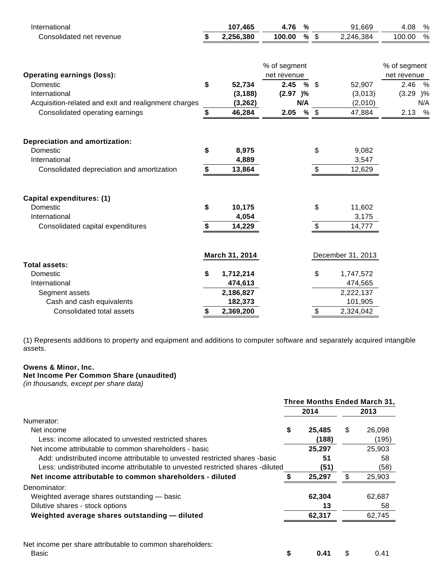| International                                        | 107,465         | 4.76         | $\%$ |                           | 91,669            | 4.08         | $\%$ |
|------------------------------------------------------|-----------------|--------------|------|---------------------------|-------------------|--------------|------|
| Consolidated net revenue                             | 2,256,380       | 100.00       | $\%$ | $\sqrt[6]{3}$             | 2,246,384         | 100.00       | $\%$ |
|                                                      |                 |              |      |                           |                   |              |      |
|                                                      |                 | % of segment |      |                           |                   | % of segment |      |
| <b>Operating earnings (loss):</b>                    |                 | net revenue  |      |                           |                   | net revenue  |      |
| Domestic                                             | \$<br>52,734    | 2.45         | %    | - \$                      | 52,907            | 2.46         | %    |
| International                                        | (3, 188)        | (2.97)%      |      |                           | (3,013)           | (3.29)       | )%   |
| Acquisition-related and exit and realignment charges | (3, 262)        |              | N/A  |                           | (2,010)           |              | N/A  |
| Consolidated operating earnings                      | \$<br>46,284    | 2.05         | $\%$ | $\sqrt[6]{\frac{1}{2}}$   | 47,884            | 2.13         | %    |
|                                                      |                 |              |      |                           |                   |              |      |
| <b>Depreciation and amortization:</b>                |                 |              |      |                           |                   |              |      |
| Domestic                                             | \$<br>8,975     |              |      | \$                        | 9,082             |              |      |
| International                                        | 4,889           |              |      |                           | 3,547             |              |      |
| Consolidated depreciation and amortization           | \$<br>13,864    |              |      | \$                        | 12,629            |              |      |
|                                                      |                 |              |      |                           |                   |              |      |
| Capital expenditures: (1)                            |                 |              |      |                           |                   |              |      |
| Domestic                                             | \$<br>10,175    |              |      | \$                        | 11,602            |              |      |
| International                                        | 4,054           |              |      |                           | 3,175             |              |      |
| Consolidated capital expenditures                    | \$<br>14,229    |              |      | $\frac{1}{2}$             | 14,777            |              |      |
|                                                      |                 |              |      |                           |                   |              |      |
| <b>Total assets:</b>                                 | March 31, 2014  |              |      |                           | December 31, 2013 |              |      |
| Domestic                                             | 1,712,214       |              |      | \$                        |                   |              |      |
|                                                      | \$              |              |      |                           | 1,747,572         |              |      |
| International                                        | 474,613         |              |      |                           | 474,565           |              |      |
| Segment assets                                       | 2,186,827       |              |      |                           | 2,222,137         |              |      |
| Cash and cash equivalents                            | 182,373         |              |      |                           | 101,905           |              |      |
| Consolidated total assets                            | \$<br>2,369,200 |              |      | $\boldsymbol{\mathsf{S}}$ | 2,324,042         |              |      |

(1) Represents additions to property and equipment and additions to computer software and separately acquired intangible assets.

#### **Owens & Minor, Inc.**

#### **Net Income Per Common Share (unaudited)**

(in thousands, except per share data)

|                                                                                |   | Three Months Ended March 31, |    |        |
|--------------------------------------------------------------------------------|---|------------------------------|----|--------|
|                                                                                |   | 2014                         |    | 2013   |
| Numerator:                                                                     |   |                              |    |        |
| Net income                                                                     | S | 25,485                       | \$ | 26,098 |
| Less: income allocated to unvested restricted shares                           |   | (188)                        |    | (195)  |
| Net income attributable to common shareholders - basic                         |   | 25,297                       |    | 25,903 |
| Add: undistributed income attributable to unvested restricted shares -basic    |   | 51                           |    | 58     |
| Less: undistributed income attributable to unvested restricted shares -diluted |   | (51)                         |    | (58)   |
| Net income attributable to common shareholders - diluted                       |   | 25,297                       | S  | 25,903 |
| Denominator:                                                                   |   |                              |    |        |
| Weighted average shares outstanding - basic                                    |   | 62,304                       |    | 62,687 |
| Dilutive shares - stock options                                                |   | 13                           |    | 58     |
| Weighted average shares outstanding - diluted                                  |   | 62,317                       |    | 62,745 |
|                                                                                |   |                              |    |        |
| Net income per share attributable to common shareholders:<br>Basic             | S | 0.41                         | \$ | 0.41   |